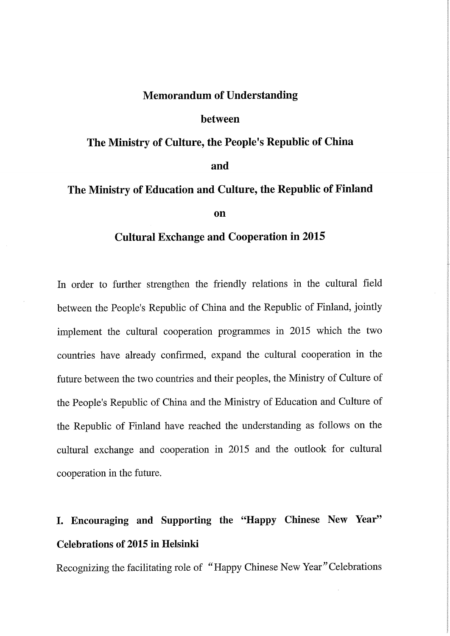### Memorandum of Understanding

#### between

# The Ministry of Culture, the People's Republic of China and

# The Ministry of Education and Culture, the Republic of Finland on

## Cultural Exchange and Cooperation in 2015

In order to further strengthen the friendly relations in the cultural field between the People's Republic of China and the Republic of Finland, jointly implement the cultural cooperation programmes in 2015 which the two countries have already confirmed, expand the cultural cooperation in the future between the two countries and their peoples, the Ministry of Culture of the People's Republic of China and the Ministry of Education and Culture of the Republic of Finland have reached the understanding as follows on the cultural exchange and cooperation in 2015 and the outlook for cultural cooperation in the future.

# I. Encouraging and Supporting the "Happy Chinese New Year" Celebrations of 2015 in Helsinki

Recognizing the facilitating role of "Happy Chinese New Year" Celebrations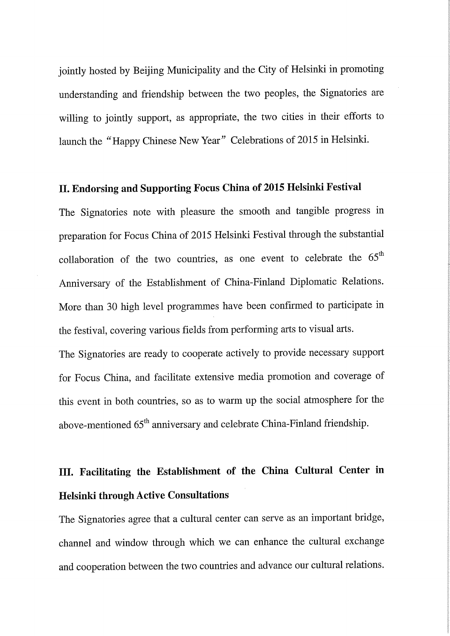jointly hosted by Beijing Municipality and the City of Helsinki in promoting understanding and friendship between the two peoples, the Signatories are willing to jointly support, as appropriate, the two cities in their efforts to launch the "Happy Chinese New Year" Celebrations of 2015 in Helsinki.

## II. Endorsing and Supporting Focus China of 2015 Helsinki Festival

The Signatories note with pleasure the smooth and tangible progress in preparation for Focus China of 2015 Helsinki Festival through the substantial collaboration of the two countries, as one event to celebrate the  $65<sup>th</sup>$ Anniversary of the Establishment of China-Finland Diplomatic Relations. More than 30 high level programmes have been confirmed to participate in the festival, covering various fields from performing arts to visual arts.

The Signatories are ready to cooperate actively to provide necessary support for Focus China, and facilitate extensive media promotion and coverage of this event in both countries, so as to warm up the social atmosphere for the above-mentioned 65<sup>th</sup> anniversary and celebrate China-Finland friendship.

# III. Facilitating the Establishment of the China Cultural Center in Helsinki through Active Consultations

The Signatories agree that a cultural center can serve as an important bridge, channel and window through which we can enhance the cultural exchange and cooperation between the two countries and advance our cultural relations.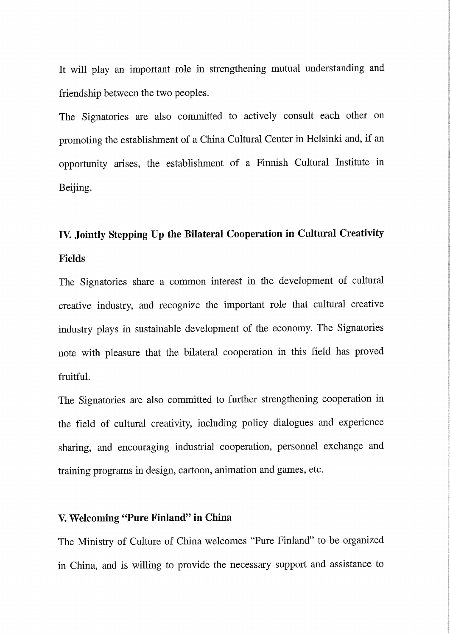lt will play an important role in strengthening mutual understanding and friendship between the two peoples.

The Signatories are also committed to actively consult each other on promoting the establishment of a China Cultural Center in Helsinki and, if an opportunity arises, the establishment of a Finnish Cultural Institute in Beijing.

# IV. Jointly Stepping Up the Bilateral Cooperation in Cultural Creativity Fields

The Signatories share a common interest in the development of cultural creative industry, and recognize the important role that cultural creative industry plays in sustainable development of the economy. The Signatories note with pleasure that the bilateral cooperation in this field has proved fruitful.

The Signatories are also committed to further strengthening cooperation in the field of cultural creativity, including policy dialogues and experience sharing, and encouraging industrial cooperation, personnel exchange and training programs in design, cartoon, animation and games, etc.

## V. Welcoming "Pure Finland" in China

The Ministry of Culture of China welcomes "Pure Finland" to be organized in China, and is willing to provide the necessary support and assistance to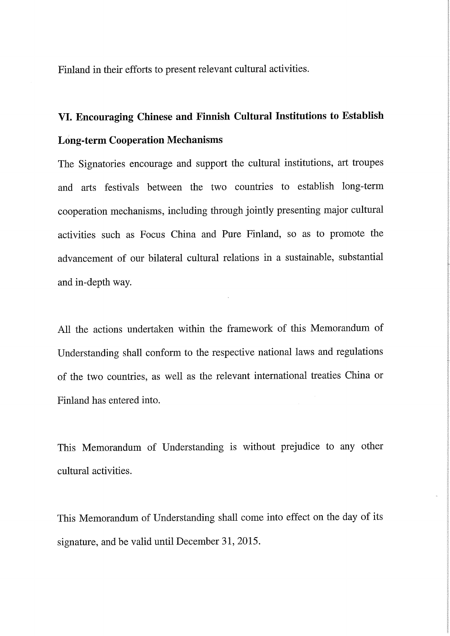Finland in their efforts to present relevant cultural activities.

# VI. Encouraging Chinese and Finnish Cultural Institutions to Establish Long-term Cooperation Mechanisms

The Signatories encourage and support the cultural institutions, art troupes and arts festivals between the two countries to establish long-term cooperation mechanisms, including through jointly presenting major cultural activities such as Focus China and Pure Finland, so as to promote the advancement of our bilateral cultural relations in a sustainable, substantial and in-depth way.

Ali the actions undertaken within the framework of this Memorandum of Understanding shall conform to the respective national laws and regulations of the two countries, as weil as the relevant international treaties China or Finland has entered into.

This Memorandum of Understanding is without prejudice to any other cultural activities.

This Memorandum of Understanding shall come into effect on the day of its signature, and be valid until December 31, 2015.